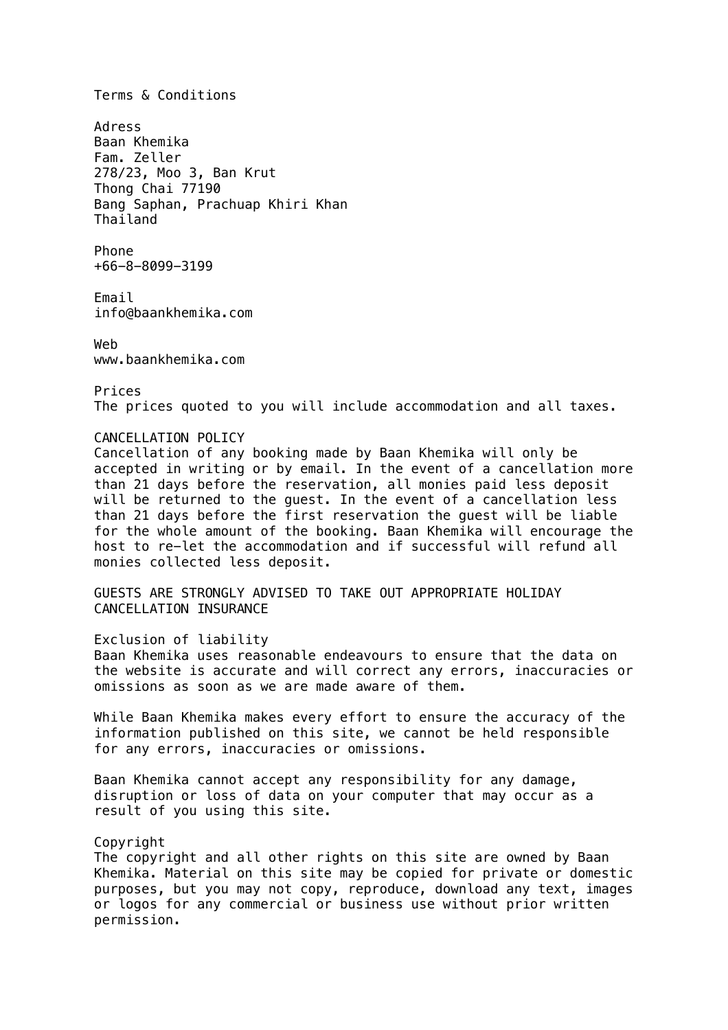Terms & Conditions Adress Baan Khemika Fam. Zeller 278/23, Moo 3, Ban Krut Thong Chai 77190 Bang Saphan, Prachuap Khiri Khan Thailand Phone +66-8-8099-3199 Email info@baankhemika.com Web www.baankhemika.com Prices The prices quoted to you will include accommodation and all taxes. CANCELLATION POLICY Cancellation of any booking made by Baan Khemika will only be accepted in writing or by email. In the event of a cancellation more than 21 days before the reservation, all monies paid less deposit will be returned to the guest. In the event of a cancellation less than 21 days before the first reservation the guest will be liable for the whole amount of the booking. Baan Khemika will encourage the host to re-let the accommodation and if successful will refund all monies collected less deposit. GUESTS ARE STRONGLY ADVISED TO TAKE OUT APPROPRIATE HOLIDAY CANCELLATION INSURANCE Exclusion of liability Baan Khemika uses reasonable endeavours to ensure that the data on the website is accurate and will correct any errors, inaccuracies or omissions as soon as we are made aware of them. While Baan Khemika makes every effort to ensure the accuracy of the information published on this site, we cannot be held responsible for any errors, inaccuracies or omissions. Baan Khemika cannot accept any responsibility for any damage, disruption or loss of data on your computer that may occur as a result of you using this site. Copyright The copyright and all other rights on this site are owned by Baan Khemika. Material on this site may be copied for private or domestic purposes, but you may not copy, reproduce, download any text, images or logos for any commercial or business use without prior written permission.